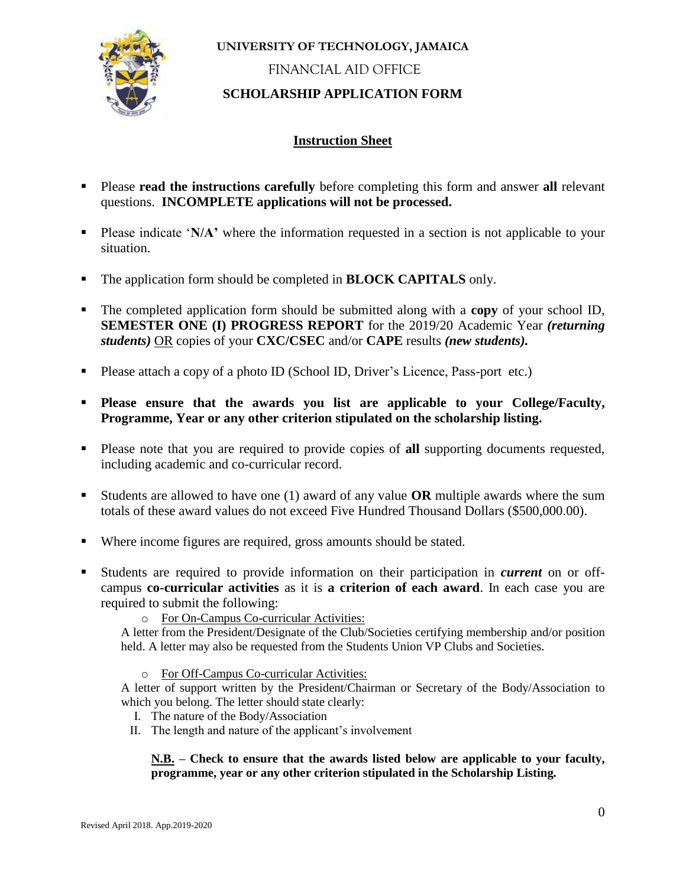

#### FINANCIAL AID OFFICE

## **SCHOLARSHIP APPLICATION FORM**

### **Instruction Sheet**

- Please **read the instructions carefully** before completing this form and answer **all** relevant questions. **INCOMPLETE applications will not be processed.**
- **Please indicate 'N/A'** where the information requested in a section is not applicable to your situation.
- The application form should be completed in **BLOCK CAPITALS** only.
- The completed application form should be submitted along with a **copy** of your school ID, **SEMESTER ONE (I) PROGRESS REPORT** for the 2019/20 Academic Year *(returning students)* OR copies of your **CXC/CSEC** and/or **CAPE** results *(new students).*
- Please attach a copy of a photo ID (School ID, Driver's Licence, Pass-port etc.)
- **Please ensure that the awards you list are applicable to your College/Faculty, Programme, Year or any other criterion stipulated on the scholarship listing.**
- Please note that you are required to provide copies of **all** supporting documents requested, including academic and co-curricular record.
- Students are allowed to have one (1) award of any value **OR** multiple awards where the sum totals of these award values do not exceed Five Hundred Thousand Dollars (\$500,000.00).
- Where income figures are required, gross amounts should be stated.
- Students are required to provide information on their participation in *current* on or offcampus **co-curricular activities** as it is **a criterion of each award**. In each case you are required to submit the following:
	- o For On-Campus Co-curricular Activities:

A letter from the President/Designate of the Club/Societies certifying membership and/or position held. A letter may also be requested from the Students Union VP Clubs and Societies.

o For Off-Campus Co-curricular Activities:

A letter of support written by the President/Chairman or Secretary of the Body/Association to which you belong. The letter should state clearly:

- I. The nature of the Body/Association
- II. The length and nature of the applicant's involvement

**N.B. – Check to ensure that the awards listed below are applicable to your faculty, programme, year or any other criterion stipulated in the Scholarship Listing.**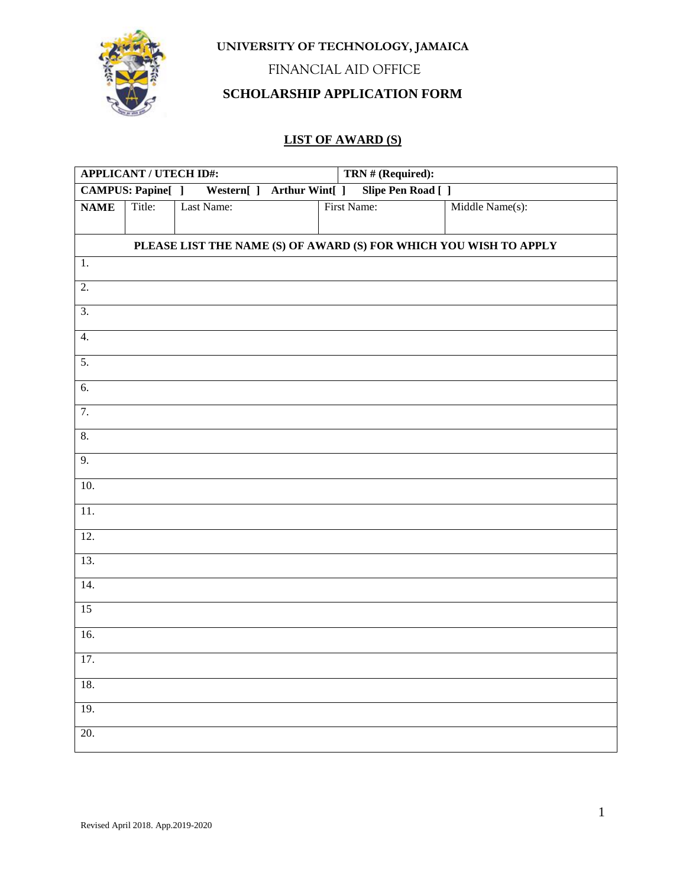

FINANCIAL AID OFFICE

# **SCHOLARSHIP APPLICATION FORM**

## **LIST OF AWARD (S)**

| <b>APPLICANT / UTECH ID#:</b> |                         |  |            |               |  | TRN # (Required):         |                                                                   |  |  |
|-------------------------------|-------------------------|--|------------|---------------|--|---------------------------|-------------------------------------------------------------------|--|--|
|                               | <b>CAMPUS: Papine[]</b> |  | Western[]  | Arthur Wint[] |  | <b>Slipe Pen Road</b> [ ] |                                                                   |  |  |
| <b>NAME</b>                   | Title:                  |  | Last Name: |               |  | First Name:               | Middle Name(s):                                                   |  |  |
|                               |                         |  |            |               |  |                           | PLEASE LIST THE NAME (S) OF AWARD (S) FOR WHICH YOU WISH TO APPLY |  |  |
| 1.                            |                         |  |            |               |  |                           |                                                                   |  |  |
| 2.                            |                         |  |            |               |  |                           |                                                                   |  |  |
| $\overline{3}$ .              |                         |  |            |               |  |                           |                                                                   |  |  |
| $\overline{4}$ .              |                         |  |            |               |  |                           |                                                                   |  |  |
| $\overline{5}$ .              |                         |  |            |               |  |                           |                                                                   |  |  |
| 6.<br>7.                      |                         |  |            |               |  |                           |                                                                   |  |  |
| 8.                            |                         |  |            |               |  |                           |                                                                   |  |  |
| 9.                            |                         |  |            |               |  |                           |                                                                   |  |  |
| 10.                           |                         |  |            |               |  |                           |                                                                   |  |  |
| 11.                           |                         |  |            |               |  |                           |                                                                   |  |  |
| 12.                           |                         |  |            |               |  |                           |                                                                   |  |  |
| 13.                           |                         |  |            |               |  |                           |                                                                   |  |  |
| 14.                           |                         |  |            |               |  |                           |                                                                   |  |  |
| 15                            |                         |  |            |               |  |                           |                                                                   |  |  |
| 16.                           |                         |  |            |               |  |                           |                                                                   |  |  |
| 17.                           |                         |  |            |               |  |                           |                                                                   |  |  |
| 18.                           |                         |  |            |               |  |                           |                                                                   |  |  |
| 19.                           |                         |  |            |               |  |                           |                                                                   |  |  |
| 20.                           |                         |  |            |               |  |                           |                                                                   |  |  |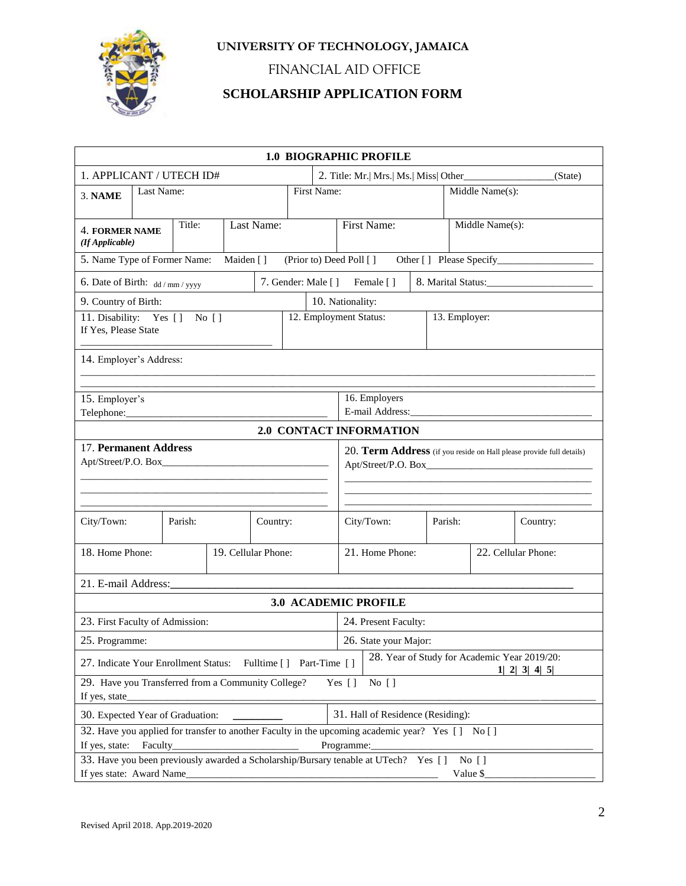

FINANCIAL AID OFFICE

# **SCHOLARSHIP APPLICATION FORM**

| <b>1.0 BIOGRAPHIC PROFILE</b>                                                                                                           |                                                                                                                                           |         |  |          |                        |                                                                      |                         |  |                 |                     |  |  |
|-----------------------------------------------------------------------------------------------------------------------------------------|-------------------------------------------------------------------------------------------------------------------------------------------|---------|--|----------|------------------------|----------------------------------------------------------------------|-------------------------|--|-----------------|---------------------|--|--|
| 1. APPLICANT / UTECH ID#                                                                                                                |                                                                                                                                           |         |  |          |                        | 2. Title: Mr.   Mrs.   Ms.   Miss   Other                            |                         |  | (State)         |                     |  |  |
| 3. NAME                                                                                                                                 | Last Name:                                                                                                                                |         |  |          | First Name:            |                                                                      |                         |  | Middle Name(s): |                     |  |  |
| Title:<br>Last Name:<br>4. FORMER NAME<br>(If Applicable)                                                                               |                                                                                                                                           |         |  |          |                        | First Name:                                                          |                         |  |                 | Middle Name(s):     |  |  |
|                                                                                                                                         | Maiden []<br>5. Name Type of Former Name:<br>(Prior to) Deed Poll []                                                                      |         |  |          |                        |                                                                      |                         |  |                 |                     |  |  |
| 6. Date of Birth: $dd / \text{mm} / yyyy$                                                                                               |                                                                                                                                           |         |  |          |                        | 7. Gender: Male []<br>Female []<br>8. Marital Status:                |                         |  |                 |                     |  |  |
| 9. Country of Birth:                                                                                                                    |                                                                                                                                           |         |  |          |                        | 10. Nationality:                                                     |                         |  |                 |                     |  |  |
| 11. Disability: Yes [] No []<br>If Yes, Please State                                                                                    |                                                                                                                                           |         |  |          | 12. Employment Status: |                                                                      |                         |  | 13. Employer:   |                     |  |  |
| 14. Employer's Address:                                                                                                                 |                                                                                                                                           |         |  |          |                        |                                                                      |                         |  |                 |                     |  |  |
| 15. Employer's                                                                                                                          |                                                                                                                                           |         |  |          |                        |                                                                      | 16. Employers           |  |                 |                     |  |  |
|                                                                                                                                         |                                                                                                                                           |         |  |          |                        |                                                                      | 2.0 CONTACT INFORMATION |  |                 |                     |  |  |
| 17. Permanent Address                                                                                                                   |                                                                                                                                           |         |  |          |                        | 20. Term Address (if you reside on Hall please provide full details) |                         |  |                 |                     |  |  |
| City/Town:                                                                                                                              |                                                                                                                                           | Parish: |  | Country: |                        |                                                                      | City/Town:<br>Parish:   |  |                 | Country:            |  |  |
|                                                                                                                                         | 19. Cellular Phone:<br>18. Home Phone:                                                                                                    |         |  |          |                        | 21. Home Phone:                                                      |                         |  |                 | 22. Cellular Phone: |  |  |
|                                                                                                                                         | 21. E-mail Address:                                                                                                                       |         |  |          |                        |                                                                      |                         |  |                 |                     |  |  |
| <b>3.0 ACADEMIC PROFILE</b>                                                                                                             |                                                                                                                                           |         |  |          |                        |                                                                      |                         |  |                 |                     |  |  |
| 23. First Faculty of Admission:                                                                                                         |                                                                                                                                           |         |  |          |                        |                                                                      | 24. Present Faculty:    |  |                 |                     |  |  |
| 25. Programme:                                                                                                                          |                                                                                                                                           |         |  |          |                        |                                                                      | 26. State your Major:   |  |                 |                     |  |  |
| 28. Year of Study for Academic Year 2019/20:<br>27. Indicate Your Enrollment Status:<br>Fulltime [] Part-Time []<br>$1 \ 2 \ 3 \ 4 \ 5$ |                                                                                                                                           |         |  |          |                        |                                                                      |                         |  |                 |                     |  |  |
| 29. Have you Transferred from a Community College?<br>No [ ]<br>Yes $[$ ]<br>If yes, state                                              |                                                                                                                                           |         |  |          |                        |                                                                      |                         |  |                 |                     |  |  |
|                                                                                                                                         | 31. Hall of Residence (Residing):<br>30. Expected Year of Graduation:                                                                     |         |  |          |                        |                                                                      |                         |  |                 |                     |  |  |
| If yes, state:                                                                                                                          | 32. Have you applied for transfer to another Faculty in the upcoming academic year? Yes [] No []<br><b>Faculty</b><br>Programme:          |         |  |          |                        |                                                                      |                         |  |                 |                     |  |  |
|                                                                                                                                         | 33. Have you been previously awarded a Scholarship/Bursary tenable at UTech? Yes []<br>$No$ $[$ ]<br>If yes state: Award Name<br>Value \$ |         |  |          |                        |                                                                      |                         |  |                 |                     |  |  |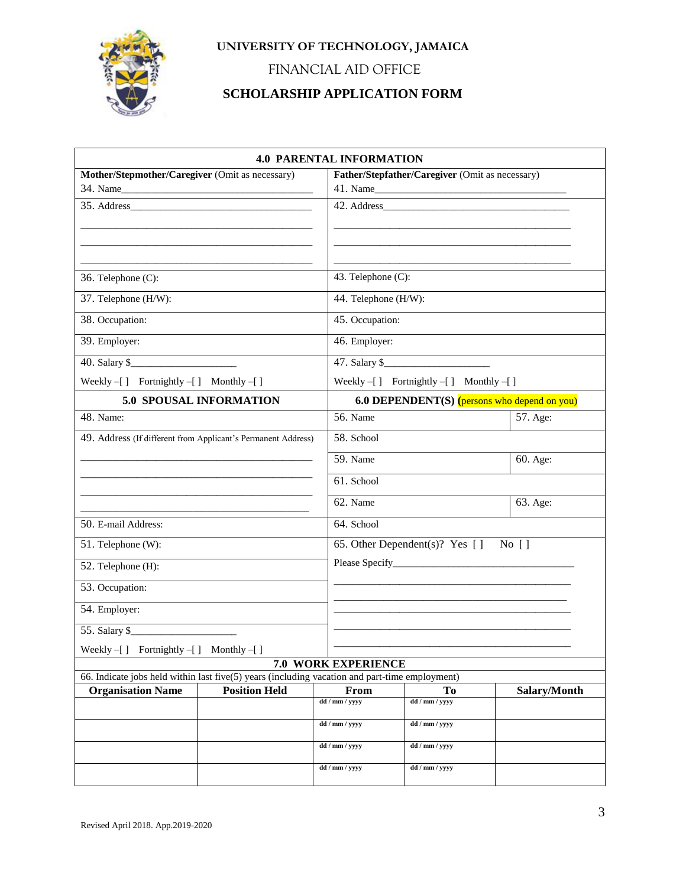

# FINANCIAL AID OFFICE

# **SCHOLARSHIP APPLICATION FORM**

| <b>4.0 PARENTAL INFORMATION</b>                                                                                       |                         |                      |                                                 |              |  |  |  |
|-----------------------------------------------------------------------------------------------------------------------|-------------------------|----------------------|-------------------------------------------------|--------------|--|--|--|
| Mother/Stepmother/Caregiver (Omit as necessary)                                                                       |                         |                      | Father/Stepfather/Caregiver (Omit as necessary) |              |  |  |  |
| 34. Name                                                                                                              |                         |                      | 41. Name                                        |              |  |  |  |
|                                                                                                                       |                         |                      |                                                 |              |  |  |  |
|                                                                                                                       |                         |                      |                                                 |              |  |  |  |
| 36. Telephone (C):                                                                                                    |                         |                      | 43. Telephone (C):                              |              |  |  |  |
| 37. Telephone (H/W):                                                                                                  |                         | 44. Telephone (H/W): |                                                 |              |  |  |  |
| 38. Occupation:                                                                                                       |                         | 45. Occupation:      |                                                 |              |  |  |  |
| 39. Employer:                                                                                                         |                         | 46. Employer:        |                                                 |              |  |  |  |
| 40. Salary \$                                                                                                         |                         |                      | 47. Salary \$                                   |              |  |  |  |
| Weekly-[] Fortnightly-[] Monthly-[]                                                                                   |                         |                      | Weekly-[] Fortnightly-[] Monthly-[]             |              |  |  |  |
|                                                                                                                       | 5.0 SPOUSAL INFORMATION |                      | 6.0 DEPENDENT(S) (persons who depend on you)    |              |  |  |  |
| 48. Name:                                                                                                             |                         | 56. Name             |                                                 | 57. Age:     |  |  |  |
| 49. Address (If different from Applicant's Permanent Address)                                                         |                         | 58. School           |                                                 |              |  |  |  |
|                                                                                                                       |                         | 59. Name             |                                                 | 60. Age:     |  |  |  |
|                                                                                                                       |                         | 61. School           |                                                 |              |  |  |  |
|                                                                                                                       |                         | 62. Name             |                                                 | 63. Age:     |  |  |  |
| 50. E-mail Address:                                                                                                   |                         | 64. School           |                                                 |              |  |  |  |
| 51. Telephone (W):                                                                                                    |                         |                      | 65. Other Dependent(s)? Yes $[$ ]<br>No [ ]     |              |  |  |  |
| 52. Telephone (H):                                                                                                    |                         |                      |                                                 |              |  |  |  |
| 53. Occupation:                                                                                                       |                         |                      |                                                 |              |  |  |  |
| 54. Employer:                                                                                                         |                         |                      |                                                 |              |  |  |  |
| 55. Salary \$                                                                                                         |                         |                      |                                                 |              |  |  |  |
| Weekly-[] Fortnightly-[] Monthly-[]                                                                                   |                         |                      |                                                 |              |  |  |  |
| 7.0 WORK EXPERIENCE<br>66. Indicate jobs held within last five(5) years (including vacation and part-time employment) |                         |                      |                                                 |              |  |  |  |
| <b>Organisation Name</b>                                                                                              | <b>Position Held</b>    | From                 | To                                              | Salary/Month |  |  |  |
|                                                                                                                       |                         | dd / mm / yyyy       | dd / mm / yyyy                                  |              |  |  |  |
|                                                                                                                       |                         | dd / mm / yyyy       | dd / mm / yyyy                                  |              |  |  |  |
|                                                                                                                       |                         | dd / mm / yyyy       | dd / mm / yyyy                                  |              |  |  |  |
|                                                                                                                       |                         | dd / mm / yyyy       | dd / mm / yyyy                                  |              |  |  |  |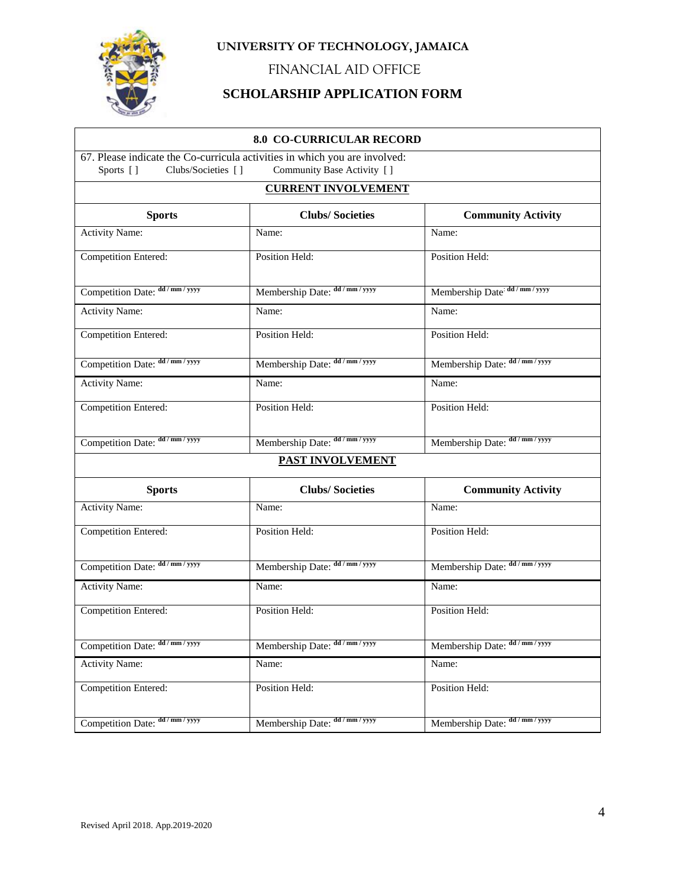

FINANCIAL AID OFFICE

### **SCHOLARSHIP APPLICATION FORM**

#### **8.0 CO-CURRICULAR RECORD**

67. Please indicate the Co-curricula activities in which you are involved:<br>Sports [] Clubs/Societies [] Community Base Activity [] Community Base Activity [ ]

#### **CURRENT INVOLVEMENT**

| <b>Sports</b>                    | <b>Clubs/Societies</b>          | <b>Community Activity</b>       |
|----------------------------------|---------------------------------|---------------------------------|
| <b>Activity Name:</b>            | Name:                           | Name:                           |
| <b>Competition Entered:</b>      | Position Held:                  | Position Held:                  |
| Competition Date: dd / mm / yyyy | Membership Date: dd / mm / yyyy | Membership Date: dd / mm / yyyy |
| <b>Activity Name:</b>            | Name:                           | Name:                           |
| <b>Competition Entered:</b>      | Position Held:                  | Position Held:                  |
| Competition Date: dd / mm / yyyy | Membership Date: dd / mm / yyyy | Membership Date: dd / mm / yyyy |
| <b>Activity Name:</b>            | Name:                           | Name:                           |
| <b>Competition Entered:</b>      | Position Held:                  | Position Held:                  |
| Competition Date: dd / mm / yyyy | Membership Date: dd / mm / yyyy | Membership Date: dd / mm / yyyy |
|                                  | <b>PAST INVOLVEMENT</b>         |                                 |
| <b>Sports</b>                    | <b>Clubs/Societies</b>          | <b>Community Activity</b>       |
| <b>Activity Name:</b>            | Name:                           | Name:                           |
| <b>Competition Entered:</b>      | Position Held:                  | Position Held:                  |
| Competition Date: dd / mm / yyyy | Membership Date: dd / mm / yyyy | Membership Date: dd / mm / yyyy |
| <b>Activity Name:</b>            | Name:                           | Name:                           |
| <b>Competition Entered:</b>      | Position Held:                  | Position Held:                  |
| Competition Date: dd / mm / yyyy | Membership Date: dd / mm / yyyy | Membership Date: dd / mm / yyyy |
| <b>Activity Name:</b>            | Name:                           | Name:                           |
| <b>Competition Entered:</b>      | Position Held:                  | Position Held:                  |
| Competition Date: dd / mm / yyyy | Membership Date: dd / mm / yyyy | Membership Date: dd / mm / yyyy |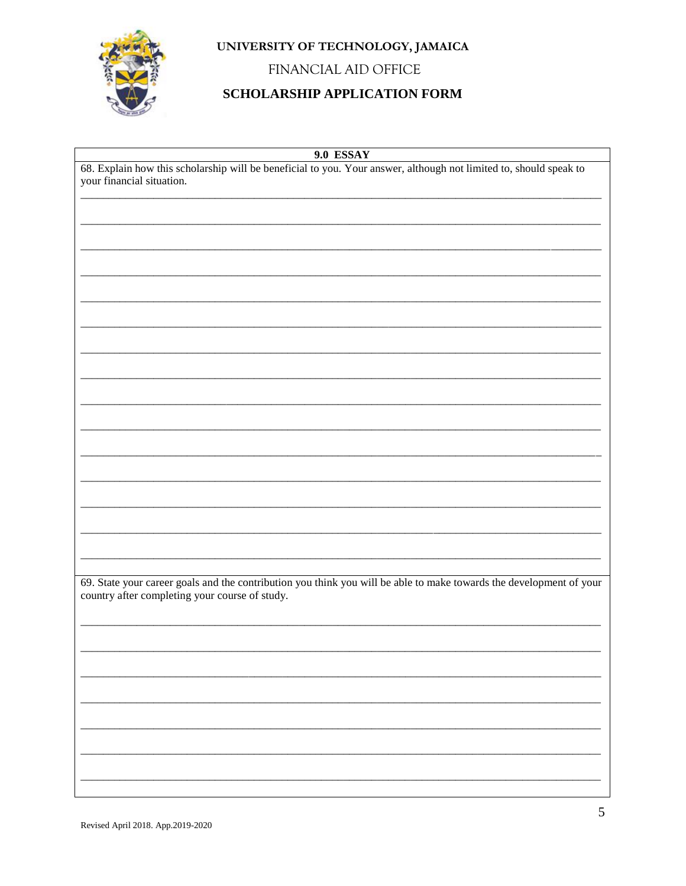

 $\overline{\phantom{a}}$ 

# UNIVERSITY OF TECHNOLOGY, JAMAICA

FINANCIAL AID OFFICE

# **SCHOLARSHIP APPLICATION FORM**

#### $9.0$  ESSAY

| your financial situation. | 68. Explain how this scholarship will be beneficial to you. Your answer, although not limited to, should speak to                                                     |
|---------------------------|-----------------------------------------------------------------------------------------------------------------------------------------------------------------------|
|                           |                                                                                                                                                                       |
|                           |                                                                                                                                                                       |
|                           |                                                                                                                                                                       |
|                           |                                                                                                                                                                       |
|                           |                                                                                                                                                                       |
|                           |                                                                                                                                                                       |
|                           |                                                                                                                                                                       |
|                           |                                                                                                                                                                       |
|                           |                                                                                                                                                                       |
|                           |                                                                                                                                                                       |
|                           |                                                                                                                                                                       |
|                           |                                                                                                                                                                       |
|                           |                                                                                                                                                                       |
|                           |                                                                                                                                                                       |
|                           |                                                                                                                                                                       |
|                           |                                                                                                                                                                       |
|                           |                                                                                                                                                                       |
|                           |                                                                                                                                                                       |
|                           |                                                                                                                                                                       |
|                           |                                                                                                                                                                       |
|                           | 69. State your career goals and the contribution you think you will be able to make towards the development of your<br>country after completing your course of study. |
|                           |                                                                                                                                                                       |
|                           |                                                                                                                                                                       |
|                           |                                                                                                                                                                       |
|                           |                                                                                                                                                                       |
|                           |                                                                                                                                                                       |
|                           |                                                                                                                                                                       |
|                           |                                                                                                                                                                       |
|                           |                                                                                                                                                                       |
|                           |                                                                                                                                                                       |
|                           |                                                                                                                                                                       |
|                           |                                                                                                                                                                       |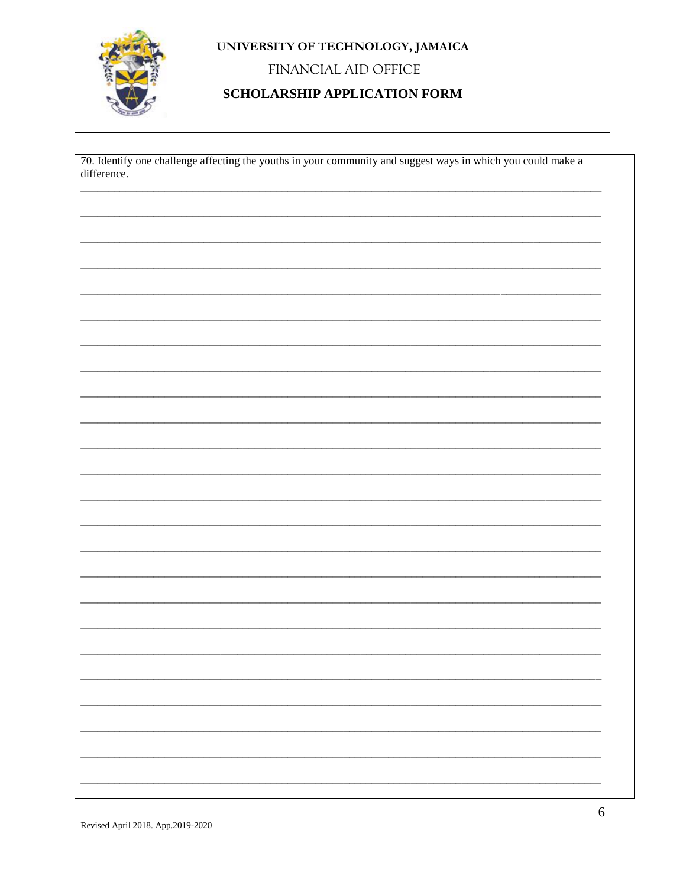

 $\mathbf{I}$ 

UNIVERSITY OF TECHNOLOGY, JAMAICA

FINANCIAL AID OFFICE

# **SCHOLARSHIP APPLICATION FORM**

| 70. Identify one challenge affecting the youths in your community and suggest ways in which you could make a difference. |    |
|--------------------------------------------------------------------------------------------------------------------------|----|
|                                                                                                                          |    |
|                                                                                                                          |    |
|                                                                                                                          |    |
|                                                                                                                          |    |
|                                                                                                                          |    |
|                                                                                                                          |    |
|                                                                                                                          |    |
|                                                                                                                          |    |
|                                                                                                                          |    |
|                                                                                                                          |    |
|                                                                                                                          |    |
|                                                                                                                          |    |
|                                                                                                                          |    |
|                                                                                                                          |    |
|                                                                                                                          |    |
|                                                                                                                          | -- |
|                                                                                                                          |    |
|                                                                                                                          |    |
|                                                                                                                          |    |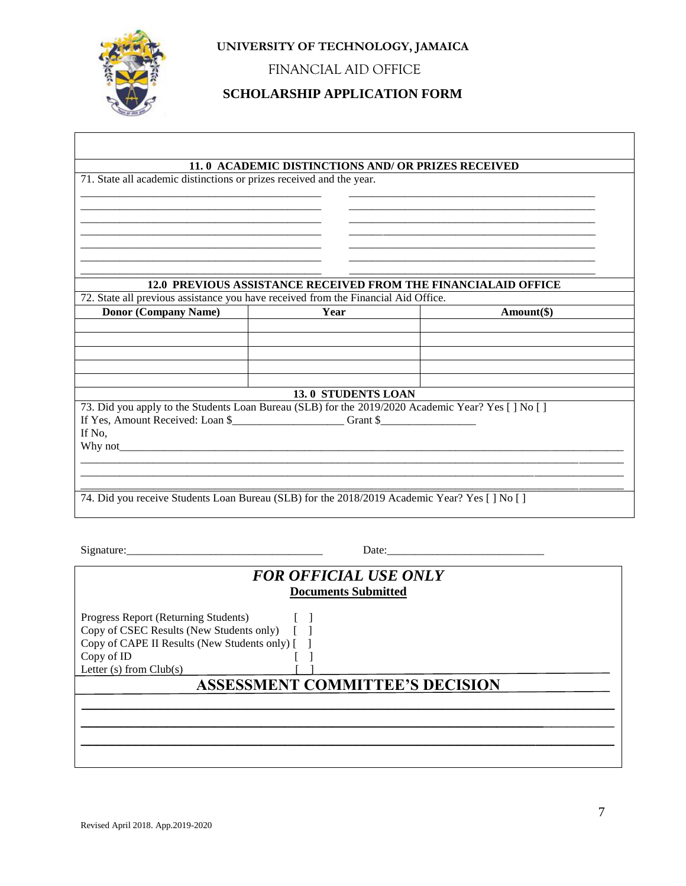

FINANCIAL AID OFFICE

# **SCHOLARSHIP APPLICATION FORM**

|                                                                                                     | 11.0 ACADEMIC DISTINCTIONS AND/ OR PRIZES RECEIVED             |  |  |  |  |  |  |
|-----------------------------------------------------------------------------------------------------|----------------------------------------------------------------|--|--|--|--|--|--|
| 71. State all academic distinctions or prizes received and the year.                                |                                                                |  |  |  |  |  |  |
|                                                                                                     |                                                                |  |  |  |  |  |  |
|                                                                                                     |                                                                |  |  |  |  |  |  |
|                                                                                                     |                                                                |  |  |  |  |  |  |
|                                                                                                     |                                                                |  |  |  |  |  |  |
|                                                                                                     |                                                                |  |  |  |  |  |  |
|                                                                                                     |                                                                |  |  |  |  |  |  |
|                                                                                                     | 12.0 PREVIOUS ASSISTANCE RECEIVED FROM THE FINANCIALAID OFFICE |  |  |  |  |  |  |
| 72. State all previous assistance you have received from the Financial Aid Office.                  |                                                                |  |  |  |  |  |  |
| <b>Donor (Company Name)</b>                                                                         | Amount(\$)                                                     |  |  |  |  |  |  |
|                                                                                                     | Year                                                           |  |  |  |  |  |  |
|                                                                                                     |                                                                |  |  |  |  |  |  |
|                                                                                                     |                                                                |  |  |  |  |  |  |
|                                                                                                     |                                                                |  |  |  |  |  |  |
|                                                                                                     |                                                                |  |  |  |  |  |  |
|                                                                                                     | 13.0 STUDENTS LOAN                                             |  |  |  |  |  |  |
| 73. Did you apply to the Students Loan Bureau (SLB) for the 2019/2020 Academic Year? Yes [ ] No [ ] |                                                                |  |  |  |  |  |  |
|                                                                                                     |                                                                |  |  |  |  |  |  |
| If No,<br>Why not                                                                                   |                                                                |  |  |  |  |  |  |
|                                                                                                     |                                                                |  |  |  |  |  |  |
|                                                                                                     |                                                                |  |  |  |  |  |  |
|                                                                                                     |                                                                |  |  |  |  |  |  |
| 74. Did you receive Students Loan Bureau (SLB) for the 2018/2019 Academic Year? Yes [ ] No [ ]      |                                                                |  |  |  |  |  |  |

 $Signature:$  Date: Date: 2000 Date: 2000 Date: 2000 Date: 2000 Date: 2000 Date: 2000 Date: 2000 Date: 2000 Date: 2000 Date: 2000 Date: 2000 Date: 2000 Date: 2000 Date: 2000 Date: 2000 Date: 2000 Date: 2000 Date: 2000 Date: 2000

| <b>FOR OFFICIAL USE ONLY</b><br><b>Documents Submitted</b>                                    |                                        |  |  |  |
|-----------------------------------------------------------------------------------------------|----------------------------------------|--|--|--|
| Progress Report (Returning Students)                                                          |                                        |  |  |  |
| Copy of CSEC Results (New Students only) [<br>Copy of CAPE II Results (New Students only) [ ] |                                        |  |  |  |
| Copy of ID                                                                                    |                                        |  |  |  |
| Letter $(s)$ from Club $(s)$                                                                  |                                        |  |  |  |
|                                                                                               | <b>ASSESSMENT COMMITTEE'S DECISION</b> |  |  |  |
|                                                                                               |                                        |  |  |  |
|                                                                                               |                                        |  |  |  |
|                                                                                               |                                        |  |  |  |
|                                                                                               |                                        |  |  |  |
|                                                                                               |                                        |  |  |  |